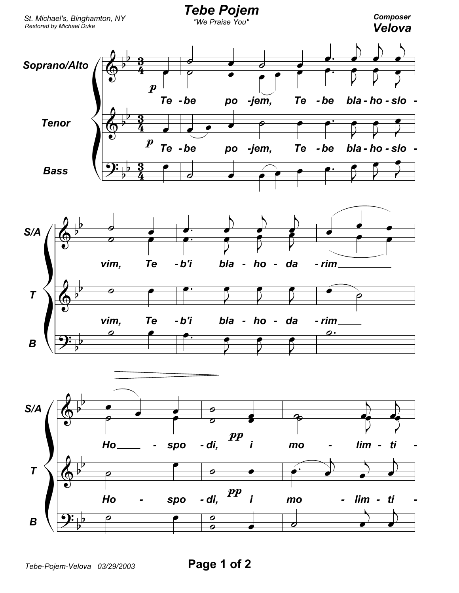